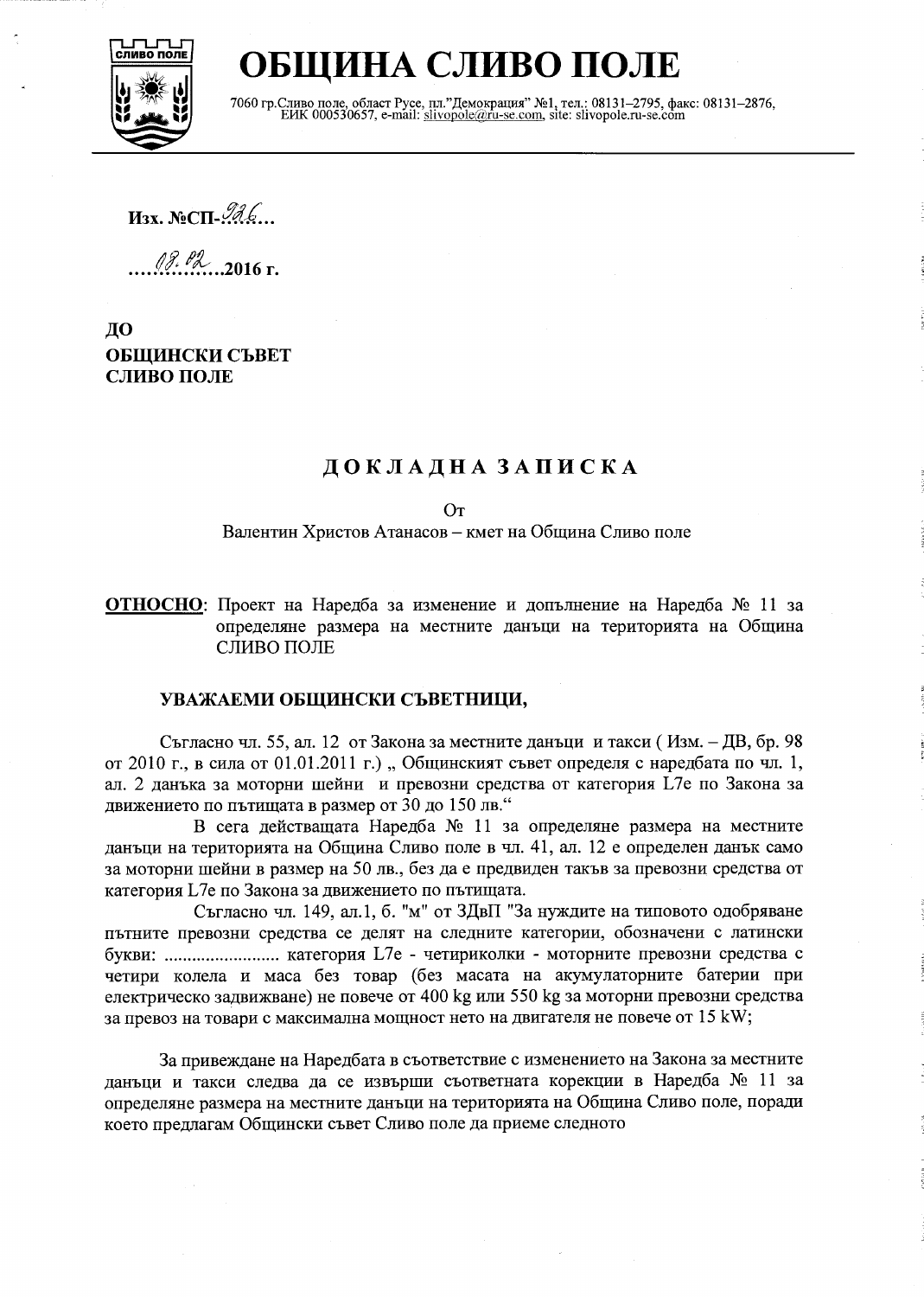

# ОБЩИНА СЛИВО ПОЛЕ

7060 гр. Сливо поле, област Русе, пл."Демокрация" №1, тел.: 08131-2795, факс: 08131-2876, ЕИК 000530657, e-mail: slivopole@ru-se.com, site: slivopole.ru-se.com

Изх. №СП-Але...

 $\frac{18.62}{2016}$  r.

ДО ОБЩИНСКИ СЪВЕТ СЛИВО ПОЛЕ

# ДОКЛАДНА ЗАПИСКА

 $O<sub>T</sub>$ 

Валентин Христов Атанасов - кмет на Община Сливо поле

ОТНОСНО: Проект на Наредба за изменение и допълнение на Наредба № 11 за определяне размера на местните данъци на територията на Община СЛИВО ПОЛЕ

### УВАЖАЕМИ ОБЩИНСКИ СЪВЕТНИЦИ,

Съгласно чл. 55, ал. 12 от Закона за местните данъци и такси (Изм. - ДВ, бр. 98 от 2010 г., в сила от 01.01.2011 г.) "Общинският съвет определя с наредбата по чл. 1, ал. 2 данъка за моторни шейни и превозни средства от категория L7е по Закона за движението по пътищата в размер от 30 до 150 лв."

В сега действащата Наредба № 11 за определяне размера на местните данъци на територията на Община Сливо поле в чл. 41, ал. 12 е определен данък само за моторни шейни в размер на 50 лв., без да е предвиден такъв за превозни средства от категория L7е по Закона за движението по пътищата.

Съгласно чл. 149, ал.1, б. "м" от ЗДвП "За нуждите на типовото одобряване пътните превозни средства се делят на следните категории, обозначени с латински букви: ........................... категория L7e - четириколки - моторните превозни средства с четири колела и маса без товар (без масата на акумулаторните батерии при електрическо задвижване) не повече от 400 kg или 550 kg за моторни превозни средства за превоз на товари с максимална мощност нето на двигателя не повече от 15 kW;

За привеждане на Наредбата в съответствие с изменението на Закона за местните данъци и такси следва да се извърши съответната корекции в Наредба № 11 за определяне размера на местните данъци на територията на Община Сливо поле, поради което предлагам Общински съвет Сливо поле да приеме следното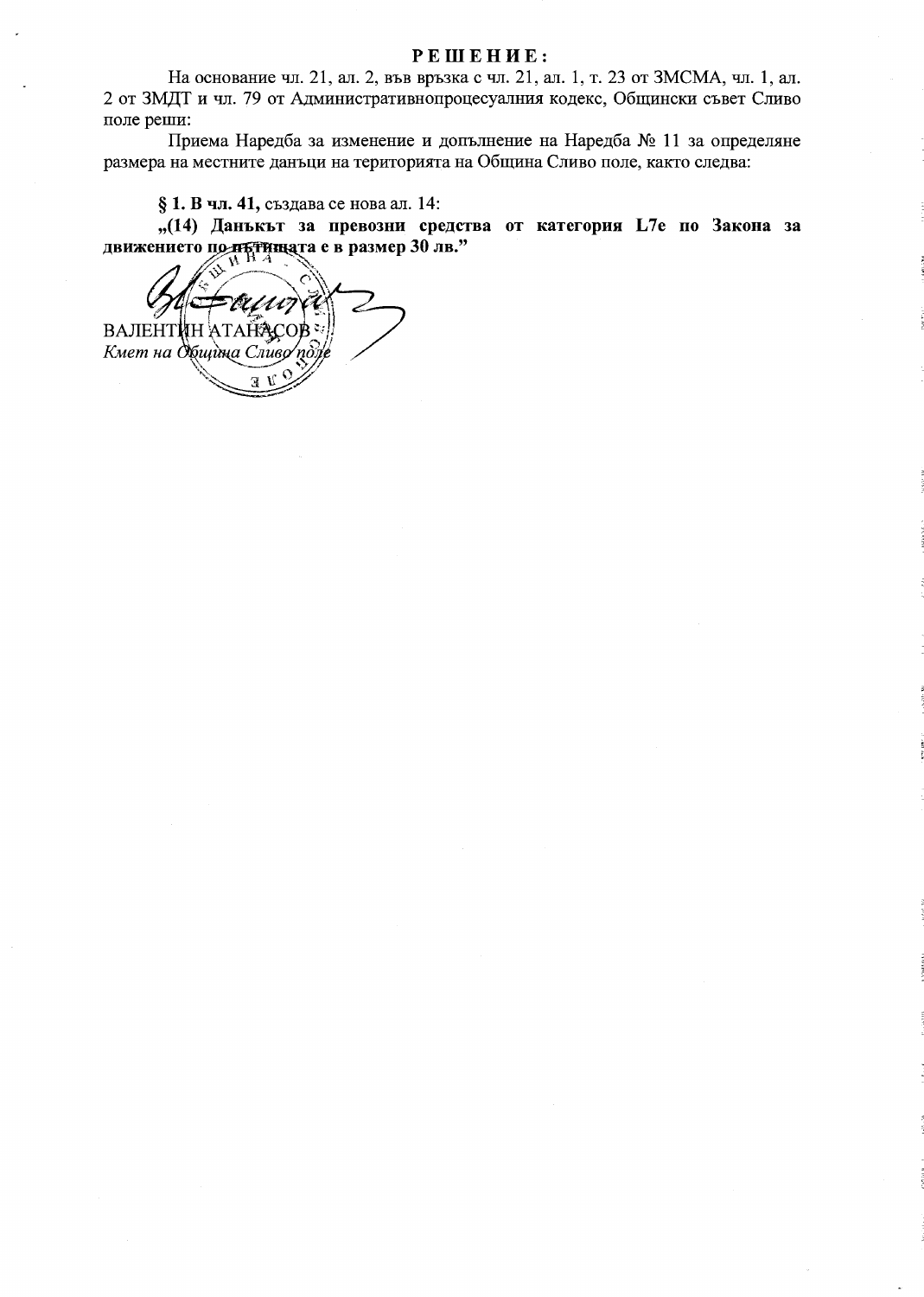#### **РЕШЕНИЕ:**

На основание чл. 21, ал. 2, във връзка с чл. 21, ал. 1, т. 23 от ЗМСМА, чл. 1, ал. 2 от ЗМДТ и чл. 79 от Административнопроцесуалния кодекс, Общински съвет Сливо поле реши:

Приема Наредба за изменение и допълнение на Наредба № 11 за определяне размера на местните данъци на територията на Община Сливо поле, както следва:

§ 1. В чл. 41, създава се нова ал. 14:

"(14) Данъкът за превозни средства от категория L7е по Закона за движението по пътницата е в размер 30 лв."

ВАЛЕНТИН АТАЙА Кмет на Община Сливо по  $\overline{\mathbf{R}}$